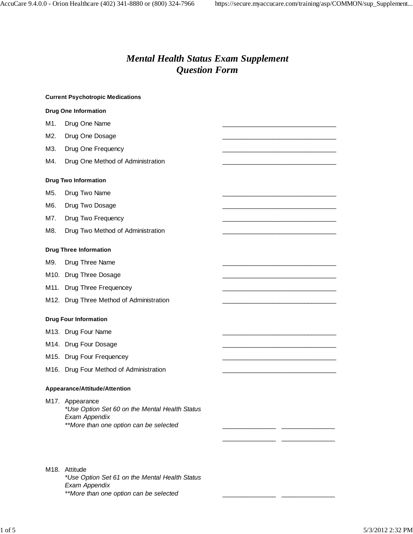# *Mental Health Status Exam Supplement Question Form*

|     | <b>Current Psychotropic Medications</b>                                                                                      |  |
|-----|------------------------------------------------------------------------------------------------------------------------------|--|
|     | <b>Drug One Information</b>                                                                                                  |  |
| M1. | Drug One Name                                                                                                                |  |
| M2. | Drug One Dosage                                                                                                              |  |
| M3. | Drug One Frequency                                                                                                           |  |
| M4. | Drug One Method of Administration                                                                                            |  |
|     | <b>Drug Two Information</b>                                                                                                  |  |
| M5. | Drug Two Name                                                                                                                |  |
| M6. | Drug Two Dosage                                                                                                              |  |
| M7. | Drug Two Frequency                                                                                                           |  |
| M8. | Drug Two Method of Administration                                                                                            |  |
|     | <b>Drug Three Information</b>                                                                                                |  |
| M9. | Drug Three Name                                                                                                              |  |
|     | M10. Drug Three Dosage                                                                                                       |  |
|     | M11. Drug Three Frequencey                                                                                                   |  |
|     | M12. Drug Three Method of Administration                                                                                     |  |
|     | <b>Drug Four Information</b>                                                                                                 |  |
|     | M13. Drug Four Name                                                                                                          |  |
|     | M14. Drug Four Dosage                                                                                                        |  |
|     | M15. Drug Four Frequencey                                                                                                    |  |
|     | M16. Drug Four Method of Administration                                                                                      |  |
|     | Appearance/Attitude/Attention                                                                                                |  |
|     | M17. Appearance<br>*Use Option Set 60 on the Mental Health Status<br>Exam Appendix<br>**More than one option can be selected |  |
|     | M <sub>18</sub> . Attitude<br>*Use Option Set 61 on the Mental Health Status<br>Exam Appendix                                |  |
|     | **More than one option can be selected                                                                                       |  |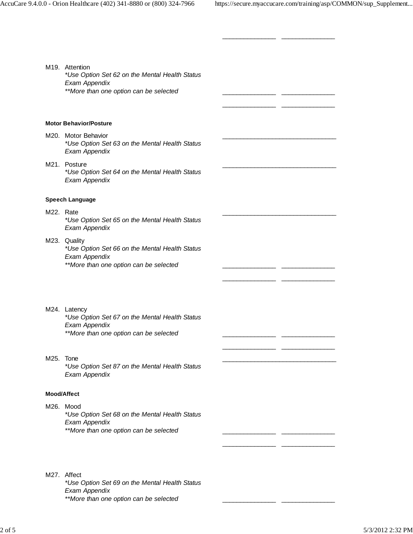| M19. Attention<br>*Use Option Set 62 on the Mental Health Status<br>Exam Appendix<br>**More than one option can be selected |  |  |
|-----------------------------------------------------------------------------------------------------------------------------|--|--|
|                                                                                                                             |  |  |
| <b>Motor Behavior/Posture</b>                                                                                               |  |  |
| M20. Motor Behavior<br>*Use Option Set 63 on the Mental Health Status<br>Exam Appendix                                      |  |  |
| M21. Posture<br>*Use Option Set 64 on the Mental Health Status<br>Exam Appendix                                             |  |  |
| <b>Speech Language</b>                                                                                                      |  |  |
| M22. Rate<br>*Use Option Set 65 on the Mental Health Status<br>Exam Appendix                                                |  |  |
| M23. Quality<br>*Use Option Set 66 on the Mental Health Status<br>Exam Appendix<br>**More than one option can be selected   |  |  |
| M24. Latency<br>*Use Option Set 67 on the Mental Health Status<br>Exam Appendix<br>**More than one option can be selected   |  |  |
|                                                                                                                             |  |  |
| M25. Tone<br>*Use Option Set 87 on the Mental Health Status<br>Exam Appendix                                                |  |  |
| <b>Mood/Affect</b>                                                                                                          |  |  |
| M26. Mood<br>*Use Option Set 68 on the Mental Health Status<br>Exam Appendix<br>**More than one option can be selected      |  |  |
| M27. Affect                                                                                                                 |  |  |
| *Use Option Set 69 on the Mental Health Status<br>Exam Appendix<br>**More than one option can be selected                   |  |  |

\_\_\_\_\_\_\_\_\_\_\_\_\_\_\_ \_\_\_\_\_\_\_\_\_\_\_\_\_\_\_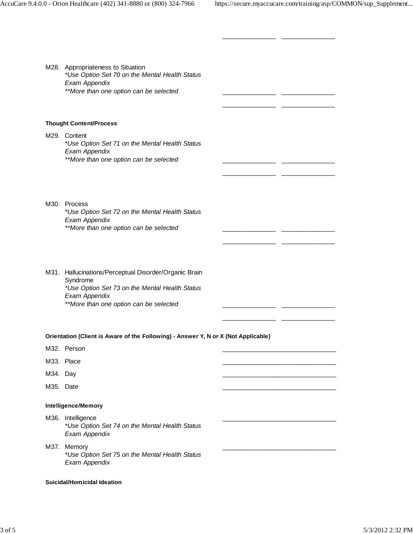| M28. Appropriateness to Situation<br>*Use Option Set 70 on the Mental Health Status<br>Exam Appendix<br>**More than one option can be selected                                 |                                                            |  |
|--------------------------------------------------------------------------------------------------------------------------------------------------------------------------------|------------------------------------------------------------|--|
| <b>Thought Content/Process</b>                                                                                                                                                 |                                                            |  |
| M29. Content<br>*Use Option Set 71 on the Mental Health Status<br>Exam Appendix<br>**More than one option can be selected                                                      | <u> 1989 - Johann John Stein, fransk politik (d. 1989)</u> |  |
| M30. Process<br>*Use Option Set 72 on the Mental Health Status<br>Exam Appendix<br>**More than one option can be selected                                                      |                                                            |  |
| M31. Hallucinations/Perceptual Disorder/Organic Brain<br>Syndrome<br>*Use Option Set 73 on the Mental Health Status<br>Exam Appendix<br>**More than one option can be selected |                                                            |  |
| Orientation (Client is Aware of the Following) - Answer Y, N or X (Not Applicable)                                                                                             |                                                            |  |
| M32. Person                                                                                                                                                                    |                                                            |  |
| M33. Place                                                                                                                                                                     |                                                            |  |
| M34. Day                                                                                                                                                                       |                                                            |  |
| M35. Date                                                                                                                                                                      |                                                            |  |
| <b>Intelligence/Memory</b>                                                                                                                                                     |                                                            |  |
| M36. Intelligence<br>*Use Option Set 74 on the Mental Health Status<br>Exam Appendix                                                                                           |                                                            |  |
| M37. Memory                                                                                                                                                                    |                                                            |  |

\_\_\_\_\_\_\_\_\_\_\_\_\_\_\_ \_\_\_\_\_\_\_\_\_\_\_\_\_\_\_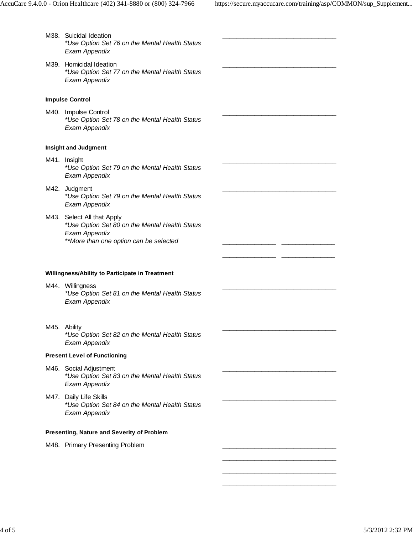\_\_\_\_\_\_\_\_\_\_\_\_\_\_\_\_\_\_\_\_\_\_\_\_\_\_\_\_\_\_\_\_

\_\_\_\_\_\_\_\_\_\_\_\_\_\_\_\_\_\_\_\_\_\_\_\_\_\_\_\_\_\_\_\_

\_\_\_\_\_\_\_\_\_\_\_\_\_\_\_\_\_\_\_\_\_\_\_\_\_\_\_\_\_\_\_\_

\_\_\_\_\_\_\_\_\_\_\_\_\_\_\_\_\_\_\_\_\_\_\_\_\_\_\_\_\_\_\_\_

\_\_\_\_\_\_\_\_\_\_\_\_\_\_\_\_\_\_\_\_\_\_\_\_\_\_\_\_\_\_\_\_

\_\_\_\_\_\_\_\_\_\_\_\_\_\_\_\_\_\_\_\_\_\_\_\_\_\_\_\_\_\_\_\_

\_\_\_\_\_\_\_\_\_\_\_\_\_\_\_\_\_\_\_\_\_\_\_\_\_\_\_\_\_\_\_\_

\_\_\_\_\_\_\_\_\_\_\_\_\_\_\_\_\_\_\_\_\_\_\_\_\_\_\_\_\_\_\_\_

\_\_\_\_\_\_\_\_\_\_\_\_\_\_\_\_\_\_\_\_\_\_\_\_\_\_\_\_\_\_\_\_

- M38. Suicidal Ideation \*Use Option Set 76 on the Mental Health Status Exam Appendix
- M39. Homicidal Ideation \*Use Option Set 77 on the Mental Health Status Exam Appendix

# **Impulse Control**

M40. Impulse Control \*Use Option Set 78 on the Mental Health Status Exam Appendix

## **Insight and Judgment**

- M41. Insight \*Use Option Set 79 on the Mental Health Status Exam Appendix
- M42. Judgment \*Use Option Set 79 on the Mental Health Status Exam Appendix
- M43. Select All that Apply \*Use Option Set 80 on the Mental Health Status Exam Appendix \*\*More than one option can be selected

\_\_\_\_\_\_\_\_\_\_\_\_\_\_\_ \_\_\_\_\_\_\_\_\_\_\_\_\_\_\_

 $\frac{1}{\sqrt{2}}$  , and the contract of the contract of the contract of the contract of the contract of the contract of the contract of the contract of the contract of the contract of the contract of the contract of the contra  $\frac{1}{\sqrt{2}}$  , and the contract of the contract of the contract of the contract of the contract of the contract of the contract of the contract of the contract of the contract of the contract of the contract of the contra \_\_\_\_\_\_\_\_\_\_\_\_\_\_\_\_\_\_\_\_\_\_\_\_\_\_\_\_\_\_\_\_

#### **Willingness/Ability to Participate in Treatment**

- M44. Willingness \*Use Option Set 81 on the Mental Health Status Exam Appendix
- M45. Ability

\*Use Option Set 82 on the Mental Health Status Exam Appendix

## **Present Level of Functioning**

- M46. Social Adjustment \*Use Option Set 83 on the Mental Health Status Exam Appendix
- M47. Daily Life Skills \*Use Option Set 84 on the Mental Health Status Exam Appendix

# **Presenting, Nature and Severity of Problem**

M48. Primary Presenting Problem